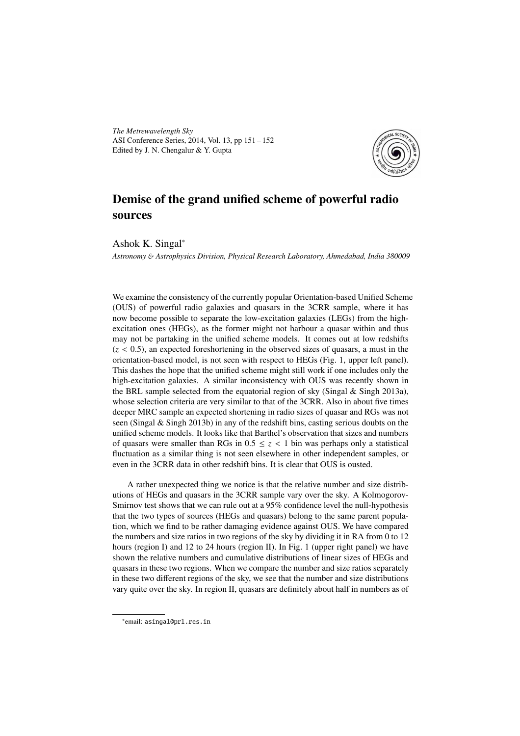*The Metrewavelength Sky* ASI Conference Series, 2014, Vol. 13, pp 151 – 152 Edited by J. N. Chengalur & Y. Gupta



## Demise of the grand unified scheme of powerful radio sources

Ashok K. Singal<sup>∗</sup>

*Astronomy* & *Astrophysics Division, Physical Research Laboratory, Ahmedabad, India 380009*

We examine the consistency of the currently popular Orientation-based Unified Scheme (OUS) of powerful radio galaxies and quasars in the 3CRR sample, where it has now become possible to separate the low-excitation galaxies (LEGs) from the highexcitation ones (HEGs), as the former might not harbour a quasar within and thus may not be partaking in the unified scheme models. It comes out at low redshifts  $(z < 0.5)$ , an expected foreshortening in the observed sizes of quasars, a must in the orientation-based model, is not seen with respect to HEGs (Fig. 1, upper left panel). This dashes the hope that the unified scheme might still work if one includes only the high-excitation galaxies. A similar inconsistency with OUS was recently shown in the BRL sample selected from the equatorial region of sky (Singal  $\&$  Singh 2013a), whose selection criteria are very similar to that of the 3CRR. Also in about five times deeper MRC sample an expected shortening in radio sizes of quasar and RGs was not seen (Singal & Singh 2013b) in any of the redshift bins, casting serious doubts on the unified scheme models. It looks like that Barthel's observation that sizes and numbers of quasars were smaller than RGs in  $0.5 \le z < 1$  bin was perhaps only a statistical fluctuation as a similar thing is not seen elsewhere in other independent samples, or even in the 3CRR data in other redshift bins. It is clear that OUS is ousted.

A rather unexpected thing we notice is that the relative number and size distributions of HEGs and quasars in the 3CRR sample vary over the sky. A Kolmogorov-Smirnov test shows that we can rule out at a 95% confidence level the null-hypothesis that the two types of sources (HEGs and quasars) belong to the same parent population, which we find to be rather damaging evidence against OUS. We have compared the numbers and size ratios in two regions of the sky by dividing it in RA from 0 to 12 hours (region I) and 12 to 24 hours (region II). In Fig. 1 (upper right panel) we have shown the relative numbers and cumulative distributions of linear sizes of HEGs and quasars in these two regions. When we compare the number and size ratios separately in these two different regions of the sky, we see that the number and size distributions vary quite over the sky. In region II, quasars are definitely about half in numbers as of

<sup>∗</sup> email: asingal@prl.res.in